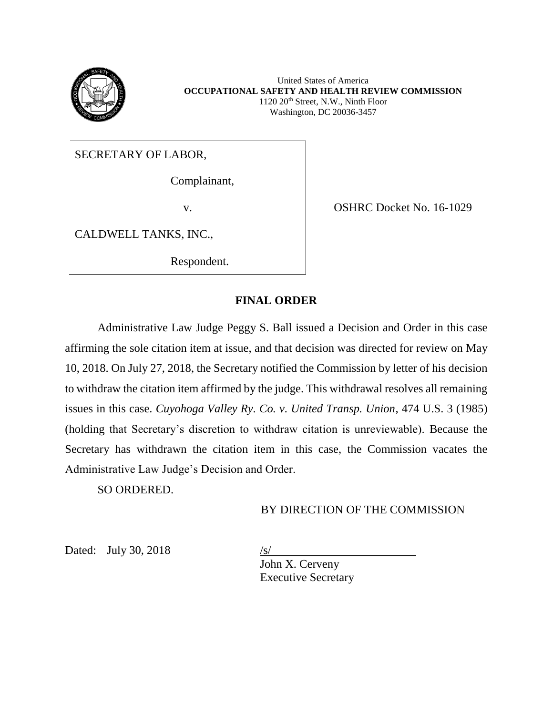

United States of America **OCCUPATIONAL SAFETY AND HEALTH REVIEW COMMISSION** 1120 20th Street, N.W., Ninth Floor Washington, DC 20036-3457

SECRETARY OF LABOR,

Complainant,

CALDWELL TANKS, INC.,

Respondent.

v. SHRC Docket No. 16-1029

# **FINAL ORDER**

Administrative Law Judge Peggy S. Ball issued a Decision and Order in this case affirming the sole citation item at issue, and that decision was directed for review on May 10, 2018. On July 27, 2018, the Secretary notified the Commission by letter of his decision to withdraw the citation item affirmed by the judge. This withdrawal resolves all remaining issues in this case. *Cuyohoga Valley Ry. Co. v. United Transp. Union*, 474 U.S. 3 (1985) (holding that Secretary's discretion to withdraw citation is unreviewable). Because the Secretary has withdrawn the citation item in this case, the Commission vacates the Administrative Law Judge's Decision and Order.

SO ORDERED.

# BY DIRECTION OF THE COMMISSION

Dated: July 30, 2018

John X. Cerveny

Executive Secretary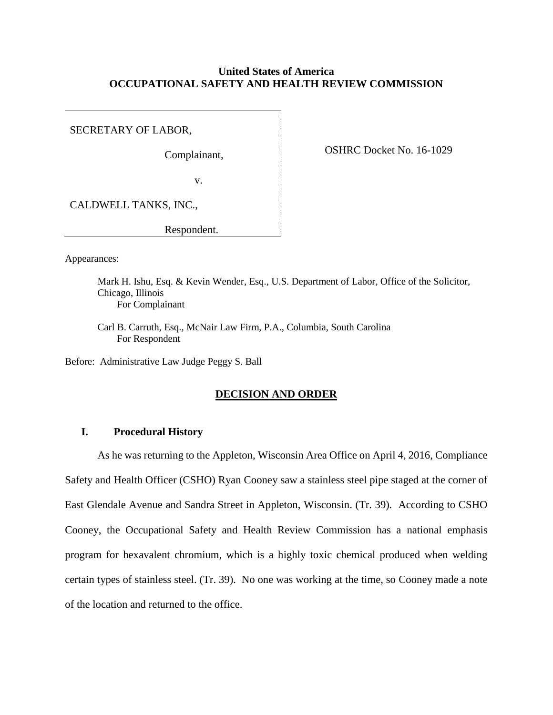### **United States of America OCCUPATIONAL SAFETY AND HEALTH REVIEW COMMISSION**

SECRETARY OF LABOR,

Complainant,

OSHRC Docket No. 16-1029

v.

CALDWELL TANKS, INC.,

Respondent.

Appearances:

Mark H. Ishu, Esq. & Kevin Wender, Esq., U.S. Department of Labor, Office of the Solicitor, Chicago, Illinois For Complainant

Carl B. Carruth, Esq., McNair Law Firm, P.A., Columbia, South Carolina For Respondent

Before: Administrative Law Judge Peggy S. Ball

### **DECISION AND ORDER**

# **I. Procedural History**

As he was returning to the Appleton, Wisconsin Area Office on April 4, 2016, Compliance Safety and Health Officer (CSHO) Ryan Cooney saw a stainless steel pipe staged at the corner of East Glendale Avenue and Sandra Street in Appleton, Wisconsin. (Tr. 39). According to CSHO Cooney, the Occupational Safety and Health Review Commission has a national emphasis program for hexavalent chromium, which is a highly toxic chemical produced when welding certain types of stainless steel. (Tr. 39). No one was working at the time, so Cooney made a note of the location and returned to the office.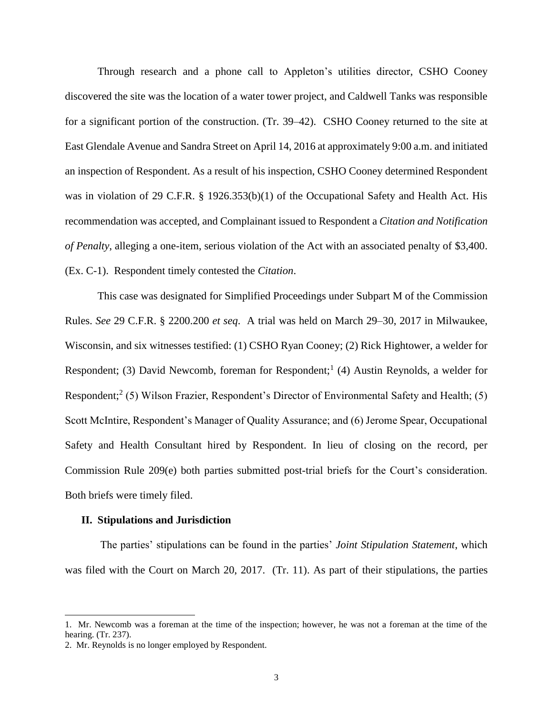Through research and a phone call to Appleton's utilities director, CSHO Cooney discovered the site was the location of a water tower project, and Caldwell Tanks was responsible for a significant portion of the construction. (Tr. 39–42). CSHO Cooney returned to the site at East Glendale Avenue and Sandra Street on April 14, 2016 at approximately 9:00 a.m. and initiated an inspection of Respondent. As a result of his inspection, CSHO Cooney determined Respondent was in violation of 29 C.F.R. § 1926.353(b)(1) of the Occupational Safety and Health Act. His recommendation was accepted, and Complainant issued to Respondent a *Citation and Notification of Penalty*, alleging a one-item, serious violation of the Act with an associated penalty of \$3,400. (Ex. C-1). Respondent timely contested the *Citation*.

This case was designated for Simplified Proceedings under Subpart M of the Commission Rules. *See* 29 C.F.R. § 2200.200 *et seq*. A trial was held on March 29–30, 2017 in Milwaukee, Wisconsin, and six witnesses testified: (1) CSHO Ryan Cooney; (2) Rick Hightower, a welder for Respondent; (3) David Newcomb, foreman for Respondent;<sup>1</sup> (4) Austin Reynolds, a welder for Respondent;<sup>2</sup> (5) Wilson Frazier, Respondent's Director of Environmental Safety and Health; (5) Scott McIntire, Respondent's Manager of Quality Assurance; and (6) Jerome Spear, Occupational Safety and Health Consultant hired by Respondent. In lieu of closing on the record, per Commission Rule 209(e) both parties submitted post-trial briefs for the Court's consideration. Both briefs were timely filed.

#### **II. Stipulations and Jurisdiction**

The parties' stipulations can be found in the parties' *Joint Stipulation Statement*, which was filed with the Court on March 20, 2017. (Tr. 11). As part of their stipulations, the parties

l

<sup>1.</sup> Mr. Newcomb was a foreman at the time of the inspection; however, he was not a foreman at the time of the hearing. (Tr. 237).

<sup>2.</sup> Mr. Reynolds is no longer employed by Respondent.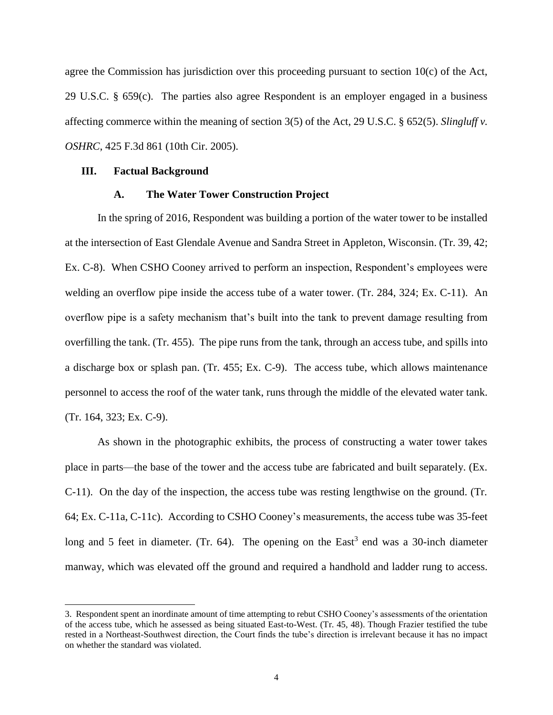agree the Commission has jurisdiction over this proceeding pursuant to section 10(c) of the Act, 29 U.S.C. § 659(c). The parties also agree Respondent is an employer engaged in a business affecting commerce within the meaning of section 3(5) of the Act, 29 U.S.C. § 652(5). *Slingluff v. OSHRC*, 425 F.3d 861 (10th Cir. 2005).

#### **III. Factual Background**

 $\overline{a}$ 

### **A. The Water Tower Construction Project**

In the spring of 2016, Respondent was building a portion of the water tower to be installed at the intersection of East Glendale Avenue and Sandra Street in Appleton, Wisconsin. (Tr. 39, 42; Ex. C-8). When CSHO Cooney arrived to perform an inspection, Respondent's employees were welding an overflow pipe inside the access tube of a water tower. (Tr. 284, 324; Ex. C-11). An overflow pipe is a safety mechanism that's built into the tank to prevent damage resulting from overfilling the tank. (Tr. 455). The pipe runs from the tank, through an access tube, and spills into a discharge box or splash pan. (Tr. 455; Ex. C-9). The access tube, which allows maintenance personnel to access the roof of the water tank, runs through the middle of the elevated water tank. (Tr. 164, 323; Ex. C-9).

As shown in the photographic exhibits, the process of constructing a water tower takes place in parts—the base of the tower and the access tube are fabricated and built separately. (Ex. C-11). On the day of the inspection, the access tube was resting lengthwise on the ground. (Tr. 64; Ex. C-11a, C-11c). According to CSHO Cooney's measurements, the access tube was 35-feet long and 5 feet in diameter. (Tr. 64). The opening on the  $East<sup>3</sup>$  end was a 30-inch diameter manway, which was elevated off the ground and required a handhold and ladder rung to access.

<sup>3.</sup> Respondent spent an inordinate amount of time attempting to rebut CSHO Cooney's assessments of the orientation of the access tube, which he assessed as being situated East-to-West. (Tr. 45, 48). Though Frazier testified the tube rested in a Northeast-Southwest direction, the Court finds the tube's direction is irrelevant because it has no impact on whether the standard was violated.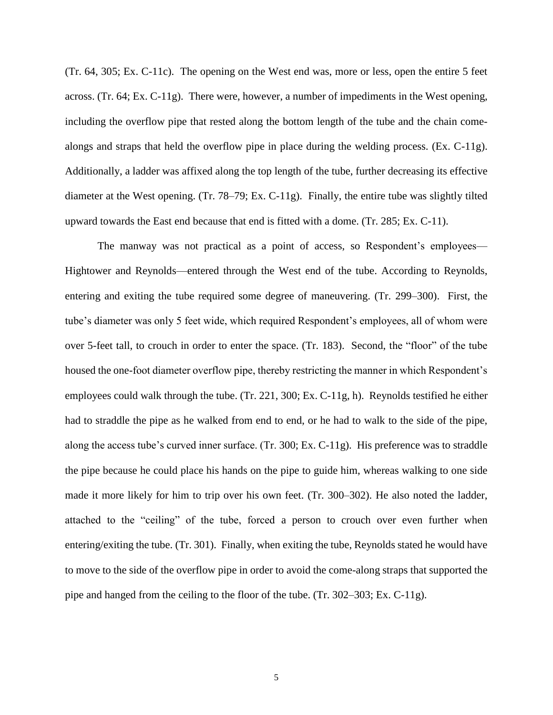(Tr. 64, 305; Ex. C-11c). The opening on the West end was, more or less, open the entire 5 feet across. (Tr. 64; Ex. C-11g). There were, however, a number of impediments in the West opening, including the overflow pipe that rested along the bottom length of the tube and the chain comealongs and straps that held the overflow pipe in place during the welding process. (Ex. C-11g). Additionally, a ladder was affixed along the top length of the tube, further decreasing its effective diameter at the West opening. (Tr. 78–79; Ex. C-11g). Finally, the entire tube was slightly tilted upward towards the East end because that end is fitted with a dome. (Tr. 285; Ex. C-11).

The manway was not practical as a point of access, so Respondent's employees— Hightower and Reynolds—entered through the West end of the tube. According to Reynolds, entering and exiting the tube required some degree of maneuvering. (Tr. 299–300). First, the tube's diameter was only 5 feet wide, which required Respondent's employees, all of whom were over 5-feet tall, to crouch in order to enter the space. (Tr. 183). Second, the "floor" of the tube housed the one-foot diameter overflow pipe, thereby restricting the manner in which Respondent's employees could walk through the tube. (Tr. 221, 300; Ex. C-11g, h). Reynolds testified he either had to straddle the pipe as he walked from end to end, or he had to walk to the side of the pipe, along the access tube's curved inner surface. (Tr. 300; Ex. C-11g). His preference was to straddle the pipe because he could place his hands on the pipe to guide him, whereas walking to one side made it more likely for him to trip over his own feet. (Tr. 300–302). He also noted the ladder, attached to the "ceiling" of the tube, forced a person to crouch over even further when entering/exiting the tube. (Tr. 301). Finally, when exiting the tube, Reynolds stated he would have to move to the side of the overflow pipe in order to avoid the come-along straps that supported the pipe and hanged from the ceiling to the floor of the tube. (Tr. 302–303; Ex. C-11g).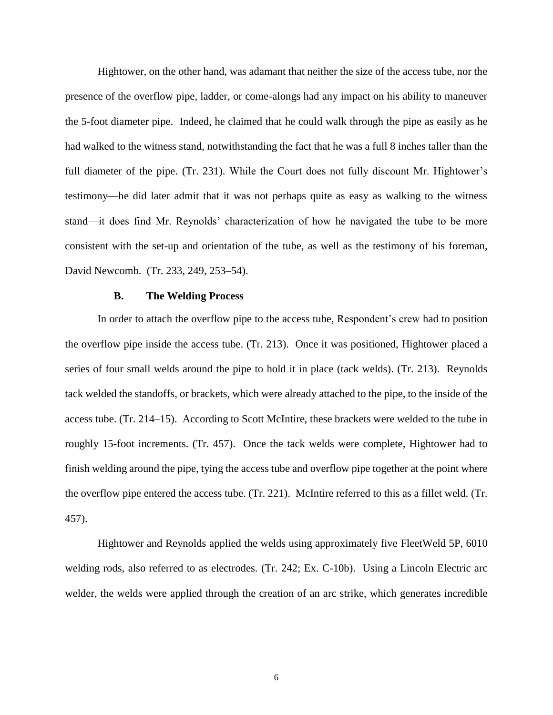Hightower, on the other hand, was adamant that neither the size of the access tube, nor the presence of the overflow pipe, ladder, or come-alongs had any impact on his ability to maneuver the 5-foot diameter pipe. Indeed, he claimed that he could walk through the pipe as easily as he had walked to the witness stand, notwithstanding the fact that he was a full 8 inches taller than the full diameter of the pipe. (Tr. 231). While the Court does not fully discount Mr. Hightower's testimony—he did later admit that it was not perhaps quite as easy as walking to the witness stand—it does find Mr. Reynolds' characterization of how he navigated the tube to be more consistent with the set-up and orientation of the tube, as well as the testimony of his foreman, David Newcomb. (Tr. 233, 249, 253–54).

#### **B. The Welding Process**

In order to attach the overflow pipe to the access tube, Respondent's crew had to position the overflow pipe inside the access tube. (Tr. 213). Once it was positioned, Hightower placed a series of four small welds around the pipe to hold it in place (tack welds). (Tr. 213). Reynolds tack welded the standoffs, or brackets, which were already attached to the pipe, to the inside of the access tube. (Tr. 214–15). According to Scott McIntire, these brackets were welded to the tube in roughly 15-foot increments. (Tr. 457). Once the tack welds were complete, Hightower had to finish welding around the pipe, tying the access tube and overflow pipe together at the point where the overflow pipe entered the access tube. (Tr. 221). McIntire referred to this as a fillet weld. (Tr. 457).

Hightower and Reynolds applied the welds using approximately five FleetWeld 5P, 6010 welding rods, also referred to as electrodes. (Tr. 242; Ex. C-10b). Using a Lincoln Electric arc welder, the welds were applied through the creation of an arc strike, which generates incredible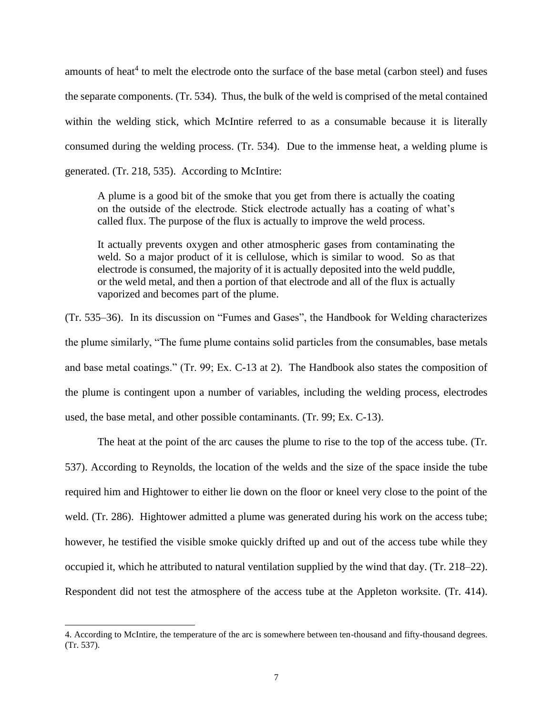amounts of heat<sup>4</sup> to melt the electrode onto the surface of the base metal (carbon steel) and fuses the separate components. (Tr. 534). Thus, the bulk of the weld is comprised of the metal contained within the welding stick, which McIntire referred to as a consumable because it is literally consumed during the welding process. (Tr. 534). Due to the immense heat, a welding plume is generated. (Tr. 218, 535). According to McIntire:

A plume is a good bit of the smoke that you get from there is actually the coating on the outside of the electrode. Stick electrode actually has a coating of what's called flux. The purpose of the flux is actually to improve the weld process.

It actually prevents oxygen and other atmospheric gases from contaminating the weld. So a major product of it is cellulose, which is similar to wood. So as that electrode is consumed, the majority of it is actually deposited into the weld puddle, or the weld metal, and then a portion of that electrode and all of the flux is actually vaporized and becomes part of the plume.

(Tr. 535–36). In its discussion on "Fumes and Gases", the Handbook for Welding characterizes the plume similarly, "The fume plume contains solid particles from the consumables, base metals and base metal coatings." (Tr. 99; Ex. C-13 at 2). The Handbook also states the composition of the plume is contingent upon a number of variables, including the welding process, electrodes used, the base metal, and other possible contaminants. (Tr. 99; Ex. C-13).

The heat at the point of the arc causes the plume to rise to the top of the access tube. (Tr. 537). According to Reynolds, the location of the welds and the size of the space inside the tube required him and Hightower to either lie down on the floor or kneel very close to the point of the weld. (Tr. 286). Hightower admitted a plume was generated during his work on the access tube; however, he testified the visible smoke quickly drifted up and out of the access tube while they occupied it, which he attributed to natural ventilation supplied by the wind that day. (Tr. 218–22). Respondent did not test the atmosphere of the access tube at the Appleton worksite. (Tr. 414).

 $\overline{a}$ 

<sup>4.</sup> According to McIntire, the temperature of the arc is somewhere between ten-thousand and fifty-thousand degrees. (Tr. 537).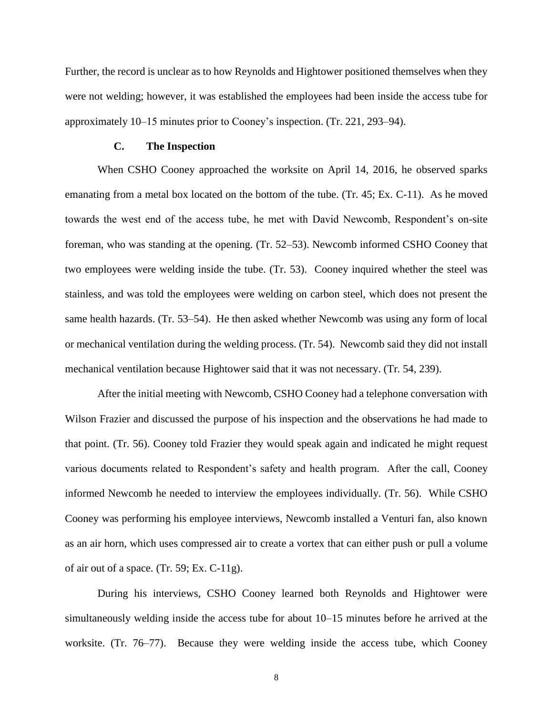Further, the record is unclear as to how Reynolds and Hightower positioned themselves when they were not welding; however, it was established the employees had been inside the access tube for approximately 10–15 minutes prior to Cooney's inspection. (Tr. 221, 293–94).

### **C. The Inspection**

When CSHO Cooney approached the worksite on April 14, 2016, he observed sparks emanating from a metal box located on the bottom of the tube. (Tr. 45; Ex. C-11). As he moved towards the west end of the access tube, he met with David Newcomb, Respondent's on-site foreman, who was standing at the opening. (Tr. 52–53). Newcomb informed CSHO Cooney that two employees were welding inside the tube. (Tr. 53). Cooney inquired whether the steel was stainless, and was told the employees were welding on carbon steel, which does not present the same health hazards. (Tr. 53–54). He then asked whether Newcomb was using any form of local or mechanical ventilation during the welding process. (Tr. 54). Newcomb said they did not install mechanical ventilation because Hightower said that it was not necessary. (Tr. 54, 239).

After the initial meeting with Newcomb, CSHO Cooney had a telephone conversation with Wilson Frazier and discussed the purpose of his inspection and the observations he had made to that point. (Tr. 56). Cooney told Frazier they would speak again and indicated he might request various documents related to Respondent's safety and health program. After the call, Cooney informed Newcomb he needed to interview the employees individually. (Tr. 56). While CSHO Cooney was performing his employee interviews, Newcomb installed a Venturi fan, also known as an air horn, which uses compressed air to create a vortex that can either push or pull a volume of air out of a space. (Tr. 59; Ex. C-11g).

During his interviews, CSHO Cooney learned both Reynolds and Hightower were simultaneously welding inside the access tube for about 10–15 minutes before he arrived at the worksite. (Tr. 76–77). Because they were welding inside the access tube, which Cooney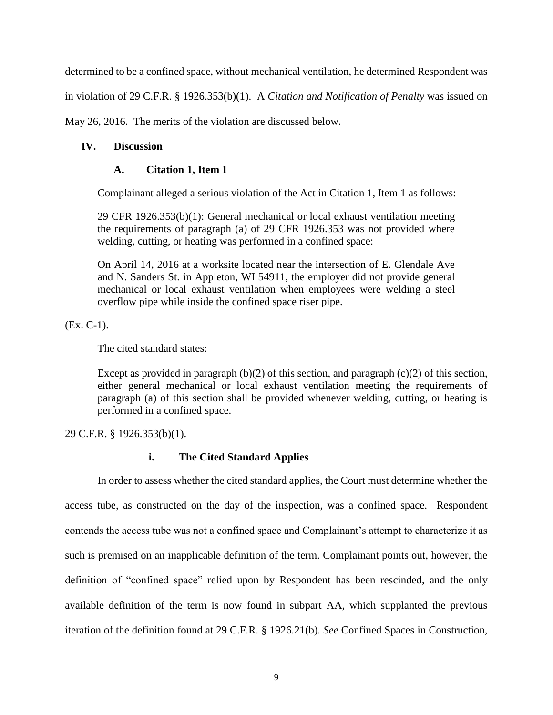determined to be a confined space, without mechanical ventilation, he determined Respondent was

in violation of 29 C.F.R. § 1926.353(b)(1). A *Citation and Notification of Penalty* was issued on

May 26, 2016. The merits of the violation are discussed below.

# **IV. Discussion**

# **A. Citation 1, Item 1**

Complainant alleged a serious violation of the Act in Citation 1, Item 1 as follows:

29 CFR 1926.353(b)(1): General mechanical or local exhaust ventilation meeting the requirements of paragraph (a) of 29 CFR 1926.353 was not provided where welding, cutting, or heating was performed in a confined space:

On April 14, 2016 at a worksite located near the intersection of E. Glendale Ave and N. Sanders St. in Appleton, WI 54911, the employer did not provide general mechanical or local exhaust ventilation when employees were welding a steel overflow pipe while inside the confined space riser pipe.

(Ex. C-1).

The cited standard states:

Except as provided in paragraph  $(b)(2)$  of this section, and paragraph  $(c)(2)$  of this section, either general mechanical or local exhaust ventilation meeting the requirements of paragraph (a) of this section shall be provided whenever welding, cutting, or heating is performed in a confined space.

29 C.F.R. § 1926.353(b)(1).

# **i. The Cited Standard Applies**

In order to assess whether the cited standard applies, the Court must determine whether the access tube, as constructed on the day of the inspection, was a confined space. Respondent contends the access tube was not a confined space and Complainant's attempt to characterize it as such is premised on an inapplicable definition of the term. Complainant points out, however, the definition of "confined space" relied upon by Respondent has been rescinded, and the only available definition of the term is now found in subpart AA, which supplanted the previous iteration of the definition found at 29 C.F.R. § 1926.21(b). *See* Confined Spaces in Construction,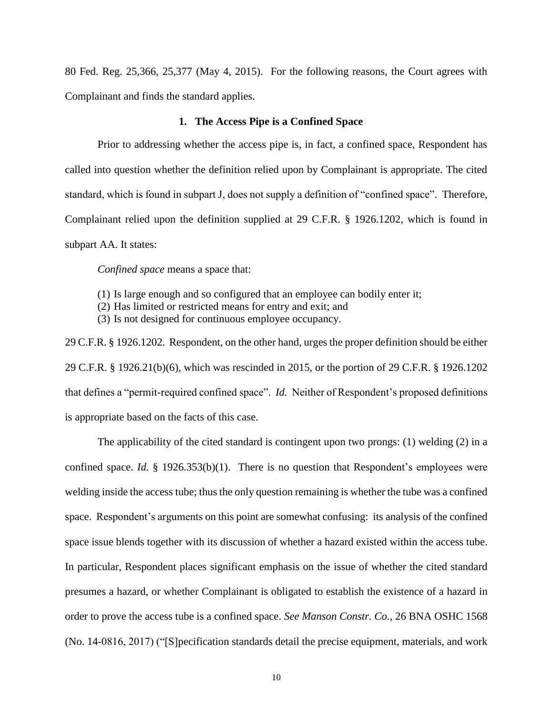80 Fed. Reg. 25,366, 25,377 (May 4, 2015). For the following reasons, the Court agrees with Complainant and finds the standard applies.

### **1. The Access Pipe is a Confined Space**

Prior to addressing whether the access pipe is, in fact, a confined space, Respondent has called into question whether the definition relied upon by Complainant is appropriate. The cited standard, which is found in subpart J, does not supply a definition of "confined space". Therefore, Complainant relied upon the definition supplied at 29 C.F.R. § 1926.1202, which is found in subpart AA. It states:

*Confined space* means a space that:

- (1) Is large enough and so configured that an employee can bodily enter it;
- (2) Has limited or restricted means for entry and exit; and
- (3) Is not designed for continuous employee occupancy.

29 C.F.R. § 1926.1202. Respondent, on the other hand, urges the proper definition should be either 29 C.F.R. § 1926.21(b)(6), which was rescinded in 2015, or the portion of 29 C.F.R. § 1926.1202 that defines a "permit-required confined space". *Id.* Neither of Respondent's proposed definitions is appropriate based on the facts of this case.

The applicability of the cited standard is contingent upon two prongs: (1) welding (2) in a confined space. *Id.* § 1926.353(b)(1). There is no question that Respondent's employees were welding inside the access tube; thus the only question remaining is whether the tube was a confined space. Respondent's arguments on this point are somewhat confusing: its analysis of the confined space issue blends together with its discussion of whether a hazard existed within the access tube. In particular, Respondent places significant emphasis on the issue of whether the cited standard presumes a hazard, or whether Complainant is obligated to establish the existence of a hazard in order to prove the access tube is a confined space. *See Manson Constr. Co.*, 26 BNA OSHC 1568 (No. 14-0816, 2017) ("[S]pecification standards detail the precise equipment, materials, and work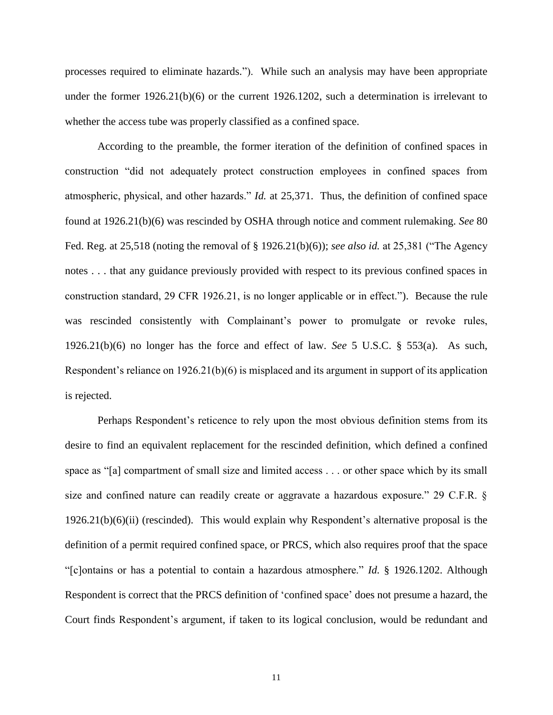processes required to eliminate hazards."). While such an analysis may have been appropriate under the former 1926.21(b)(6) or the current 1926.1202, such a determination is irrelevant to whether the access tube was properly classified as a confined space.

According to the preamble, the former iteration of the definition of confined spaces in construction "did not adequately protect construction employees in confined spaces from atmospheric, physical, and other hazards." *Id.* at 25,371. Thus, the definition of confined space found at 1926.21(b)(6) was rescinded by OSHA through notice and comment rulemaking. *See* 80 Fed. Reg. at 25,518 (noting the removal of § 1926.21(b)(6)); *see also id.* at 25,381 ("The Agency notes . . . that any guidance previously provided with respect to its previous confined spaces in construction standard, 29 CFR 1926.21, is no longer applicable or in effect."). Because the rule was rescinded consistently with Complainant's power to promulgate or revoke rules, 1926.21(b)(6) no longer has the force and effect of law. *See* 5 U.S.C. § 553(a). As such, Respondent's reliance on 1926.21(b)(6) is misplaced and its argument in support of its application is rejected.

Perhaps Respondent's reticence to rely upon the most obvious definition stems from its desire to find an equivalent replacement for the rescinded definition, which defined a confined space as "[a] compartment of small size and limited access . . . or other space which by its small size and confined nature can readily create or aggravate a hazardous exposure." 29 C.F.R. §  $1926.21(b)(6)(ii)$  (rescinded). This would explain why Respondent's alternative proposal is the definition of a permit required confined space, or PRCS, which also requires proof that the space "[c]ontains or has a potential to contain a hazardous atmosphere." *Id.* § 1926.1202. Although Respondent is correct that the PRCS definition of 'confined space' does not presume a hazard, the Court finds Respondent's argument, if taken to its logical conclusion, would be redundant and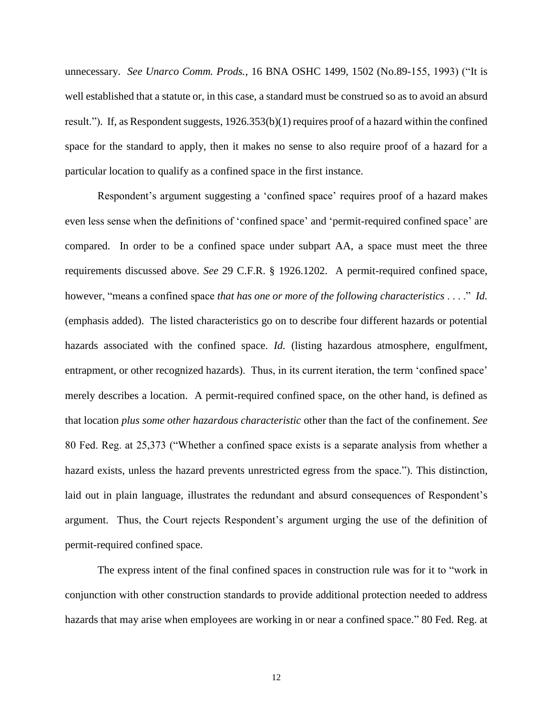unnecessary. *See Unarco Comm. Prods.*, 16 BNA OSHC 1499, 1502 (No.89-155, 1993) ("It is well established that a statute or, in this case, a standard must be construed so as to avoid an absurd result."). If, as Respondent suggests, 1926.353(b)(1) requires proof of a hazard within the confined space for the standard to apply, then it makes no sense to also require proof of a hazard for a particular location to qualify as a confined space in the first instance.

Respondent's argument suggesting a 'confined space' requires proof of a hazard makes even less sense when the definitions of 'confined space' and 'permit-required confined space' are compared. In order to be a confined space under subpart AA, a space must meet the three requirements discussed above. *See* 29 C.F.R. § 1926.1202. A permit-required confined space, however, "means a confined space *that has one or more of the following characteristics* . . . ." *Id.* (emphasis added). The listed characteristics go on to describe four different hazards or potential hazards associated with the confined space. *Id.* (listing hazardous atmosphere, engulfment, entrapment, or other recognized hazards). Thus, in its current iteration, the term 'confined space' merely describes a location. A permit-required confined space, on the other hand, is defined as that location *plus some other hazardous characteristic* other than the fact of the confinement. *See*  80 Fed. Reg. at 25,373 ("Whether a confined space exists is a separate analysis from whether a hazard exists, unless the hazard prevents unrestricted egress from the space."). This distinction, laid out in plain language, illustrates the redundant and absurd consequences of Respondent's argument. Thus, the Court rejects Respondent's argument urging the use of the definition of permit-required confined space.

The express intent of the final confined spaces in construction rule was for it to "work in conjunction with other construction standards to provide additional protection needed to address hazards that may arise when employees are working in or near a confined space." 80 Fed. Reg. at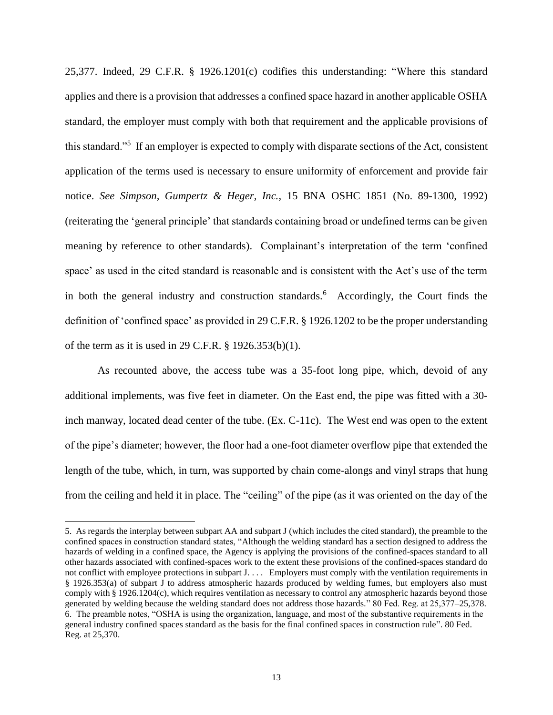25,377. Indeed, 29 C.F.R. § 1926.1201(c) codifies this understanding: "Where this standard applies and there is a provision that addresses a confined space hazard in another applicable OSHA standard, the employer must comply with both that requirement and the applicable provisions of this standard."<sup>5</sup> If an employer is expected to comply with disparate sections of the Act, consistent application of the terms used is necessary to ensure uniformity of enforcement and provide fair notice. *See Simpson, Gumpertz & Heger, Inc.*, 15 BNA OSHC 1851 (No. 89-1300, 1992) (reiterating the 'general principle' that standards containing broad or undefined terms can be given meaning by reference to other standards). Complainant's interpretation of the term 'confined space' as used in the cited standard is reasonable and is consistent with the Act's use of the term in both the general industry and construction standards.<sup>6</sup> Accordingly, the Court finds the definition of 'confined space' as provided in 29 C.F.R. § 1926.1202 to be the proper understanding of the term as it is used in 29 C.F.R. § 1926.353(b)(1).

As recounted above, the access tube was a 35-foot long pipe, which, devoid of any additional implements, was five feet in diameter. On the East end, the pipe was fitted with a 30 inch manway, located dead center of the tube. (Ex. C-11c). The West end was open to the extent of the pipe's diameter; however, the floor had a one-foot diameter overflow pipe that extended the length of the tube, which, in turn, was supported by chain come-alongs and vinyl straps that hung from the ceiling and held it in place. The "ceiling" of the pipe (as it was oriented on the day of the

 $\overline{a}$ 

<sup>5.</sup> As regards the interplay between subpart AA and subpart J (which includes the cited standard), the preamble to the confined spaces in construction standard states, "Although the welding standard has a section designed to address the hazards of welding in a confined space, the Agency is applying the provisions of the confined-spaces standard to all other hazards associated with confined-spaces work to the extent these provisions of the confined-spaces standard do not conflict with employee protections in subpart J. . . . Employers must comply with the ventilation requirements in § 1926.353(a) of subpart J to address atmospheric hazards produced by welding fumes, but employers also must comply with § 1926.1204(c), which requires ventilation as necessary to control any atmospheric hazards beyond those generated by welding because the welding standard does not address those hazards." 80 Fed. Reg. at 25,377–25,378. 6. The preamble notes, "OSHA is using the organization, language, and most of the substantive requirements in the general industry confined spaces standard as the basis for the final confined spaces in construction rule". 80 Fed. Reg. at 25,370.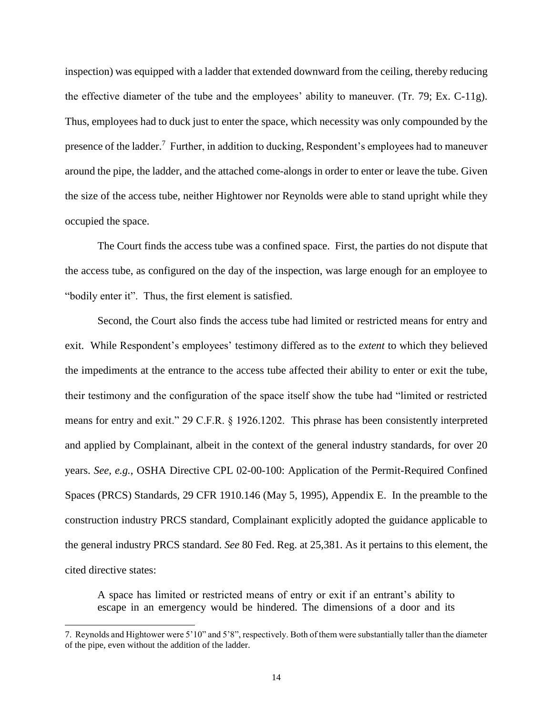inspection) was equipped with a ladder that extended downward from the ceiling, thereby reducing the effective diameter of the tube and the employees' ability to maneuver. (Tr. 79; Ex. C-11g). Thus, employees had to duck just to enter the space, which necessity was only compounded by the presence of the ladder.<sup>7</sup> Further, in addition to ducking, Respondent's employees had to maneuver around the pipe, the ladder, and the attached come-alongs in order to enter or leave the tube. Given the size of the access tube, neither Hightower nor Reynolds were able to stand upright while they occupied the space.

The Court finds the access tube was a confined space. First, the parties do not dispute that the access tube, as configured on the day of the inspection, was large enough for an employee to "bodily enter it". Thus, the first element is satisfied.

Second, the Court also finds the access tube had limited or restricted means for entry and exit. While Respondent's employees' testimony differed as to the *extent* to which they believed the impediments at the entrance to the access tube affected their ability to enter or exit the tube, their testimony and the configuration of the space itself show the tube had "limited or restricted means for entry and exit." 29 C.F.R. § 1926.1202. This phrase has been consistently interpreted and applied by Complainant, albeit in the context of the general industry standards, for over 20 years. *See, e.g.*, OSHA Directive CPL 02-00-100: Application of the Permit-Required Confined Spaces (PRCS) Standards, 29 CFR 1910.146 (May 5, 1995), Appendix E. In the preamble to the construction industry PRCS standard, Complainant explicitly adopted the guidance applicable to the general industry PRCS standard. *See* 80 Fed. Reg. at 25,381. As it pertains to this element, the cited directive states:

A space has limited or restricted means of entry or exit if an entrant's ability to escape in an emergency would be hindered. The dimensions of a door and its

 $\overline{a}$ 

<sup>7.</sup> Reynolds and Hightower were 5'10" and 5'8", respectively. Both of them were substantially taller than the diameter of the pipe, even without the addition of the ladder.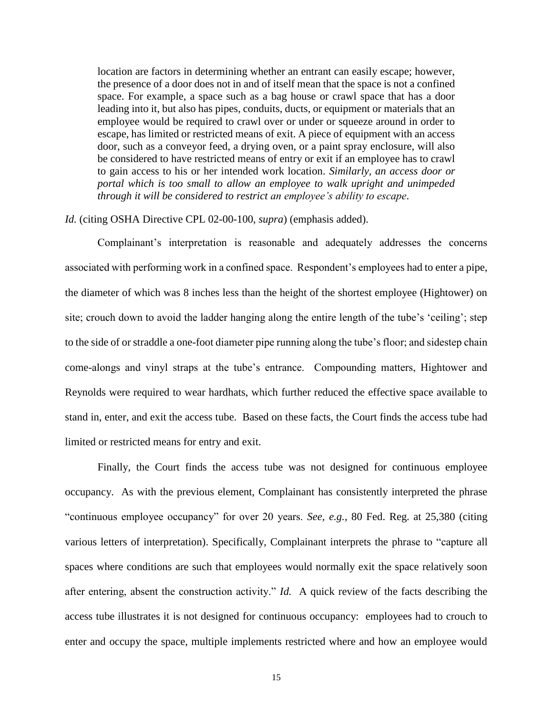location are factors in determining whether an entrant can easily escape; however, the presence of a door does not in and of itself mean that the space is not a confined space. For example, a space such as a bag house or crawl space that has a door leading into it, but also has pipes, conduits, ducts, or equipment or materials that an employee would be required to crawl over or under or squeeze around in order to escape, has limited or restricted means of exit. A piece of equipment with an access door, such as a conveyor feed, a drying oven, or a paint spray enclosure, will also be considered to have restricted means of entry or exit if an employee has to crawl to gain access to his or her intended work location. *Similarly, an access door or portal which is too small to allow an employee to walk upright and unimpeded through it will be considered to restrict an employee's ability to escape*.

### *Id.* (citing OSHA Directive CPL 02-00-100, *supra*) (emphasis added).

Complainant's interpretation is reasonable and adequately addresses the concerns associated with performing work in a confined space. Respondent's employees had to enter a pipe, the diameter of which was 8 inches less than the height of the shortest employee (Hightower) on site; crouch down to avoid the ladder hanging along the entire length of the tube's 'ceiling'; step to the side of or straddle a one-foot diameter pipe running along the tube's floor; and sidestep chain come-alongs and vinyl straps at the tube's entrance. Compounding matters, Hightower and Reynolds were required to wear hardhats, which further reduced the effective space available to stand in, enter, and exit the access tube. Based on these facts, the Court finds the access tube had limited or restricted means for entry and exit.

Finally, the Court finds the access tube was not designed for continuous employee occupancy. As with the previous element, Complainant has consistently interpreted the phrase "continuous employee occupancy" for over 20 years. *See, e.g.*, 80 Fed. Reg. at 25,380 (citing various letters of interpretation). Specifically, Complainant interprets the phrase to "capture all spaces where conditions are such that employees would normally exit the space relatively soon after entering, absent the construction activity." *Id.* A quick review of the facts describing the access tube illustrates it is not designed for continuous occupancy: employees had to crouch to enter and occupy the space, multiple implements restricted where and how an employee would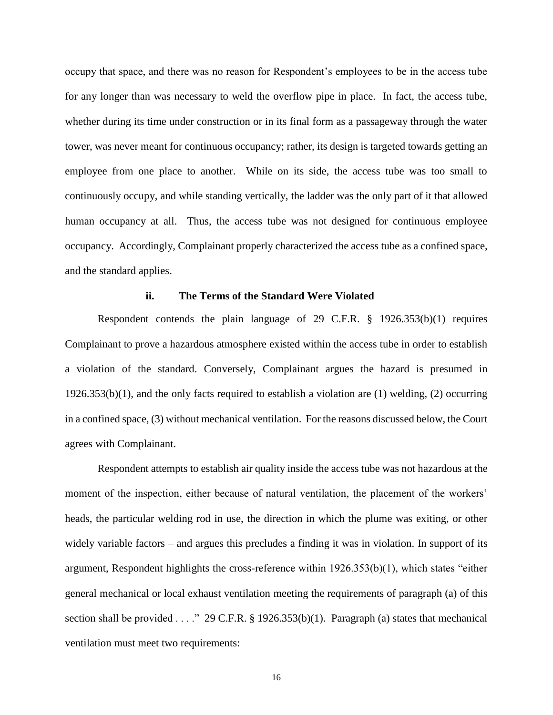occupy that space, and there was no reason for Respondent's employees to be in the access tube for any longer than was necessary to weld the overflow pipe in place. In fact, the access tube, whether during its time under construction or in its final form as a passageway through the water tower, was never meant for continuous occupancy; rather, its design is targeted towards getting an employee from one place to another. While on its side, the access tube was too small to continuously occupy, and while standing vertically, the ladder was the only part of it that allowed human occupancy at all. Thus, the access tube was not designed for continuous employee occupancy. Accordingly, Complainant properly characterized the access tube as a confined space, and the standard applies.

# **ii. The Terms of the Standard Were Violated**

Respondent contends the plain language of 29 C.F.R. § 1926.353(b)(1) requires Complainant to prove a hazardous atmosphere existed within the access tube in order to establish a violation of the standard. Conversely, Complainant argues the hazard is presumed in 1926.353(b)(1), and the only facts required to establish a violation are (1) welding, (2) occurring in a confined space, (3) without mechanical ventilation. For the reasons discussed below, the Court agrees with Complainant.

Respondent attempts to establish air quality inside the access tube was not hazardous at the moment of the inspection, either because of natural ventilation, the placement of the workers' heads, the particular welding rod in use, the direction in which the plume was exiting, or other widely variable factors – and argues this precludes a finding it was in violation. In support of its argument, Respondent highlights the cross-reference within 1926.353(b)(1), which states "either general mechanical or local exhaust ventilation meeting the requirements of paragraph (a) of this section shall be provided . . . ." 29 C.F.R. § 1926.353(b)(1). Paragraph (a) states that mechanical ventilation must meet two requirements: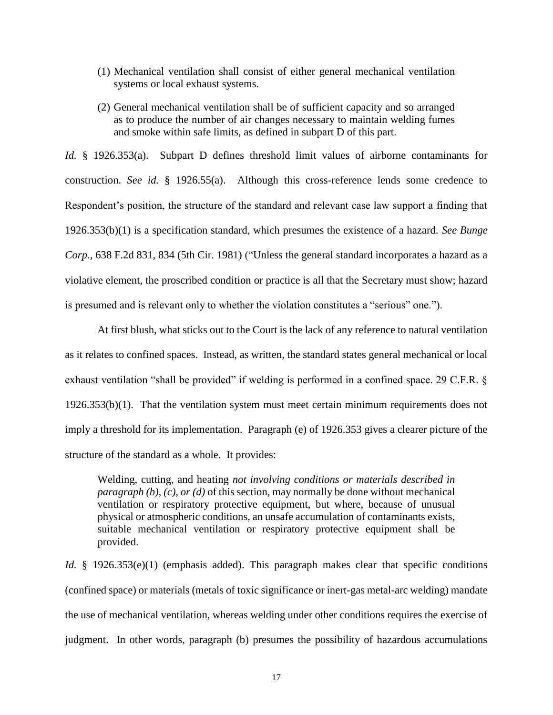- (1) Mechanical ventilation shall consist of either general mechanical ventilation systems or local exhaust systems.
- (2) General mechanical ventilation shall be of sufficient capacity and so arranged as to produce the number of air changes necessary to maintain welding fumes and smoke within safe limits, as defined in subpart D of this part.

*Id.* § 1926.353(a). Subpart D defines threshold limit values of airborne contaminants for construction. *See id.* § 1926.55(a). Although this cross-reference lends some credence to Respondent's position, the structure of the standard and relevant case law support a finding that 1926.353(b)(1) is a specification standard, which presumes the existence of a hazard. *See Bunge Corp.*, 638 F.2d 831, 834 (5th Cir. 1981) ("Unless the general standard incorporates a hazard as a violative element, the proscribed condition or practice is all that the Secretary must show; hazard is presumed and is relevant only to whether the violation constitutes a "serious" one.").

At first blush, what sticks out to the Court is the lack of any reference to natural ventilation as it relates to confined spaces. Instead, as written, the standard states general mechanical or local exhaust ventilation "shall be provided" if welding is performed in a confined space. 29 C.F.R. § 1926.353(b)(1). That the ventilation system must meet certain minimum requirements does not imply a threshold for its implementation. Paragraph (e) of 1926.353 gives a clearer picture of the structure of the standard as a whole. It provides:

Welding, cutting, and heating *not involving conditions or materials described in paragraph (b), (c), or (d)* of this section, may normally be done without mechanical ventilation or respiratory protective equipment, but where, because of unusual physical or atmospheric conditions, an unsafe accumulation of contaminants exists, suitable mechanical ventilation or respiratory protective equipment shall be provided.

*Id.* § 1926.353(e)(1) (emphasis added). This paragraph makes clear that specific conditions (confined space) or materials (metals of toxic significance or inert-gas metal-arc welding) mandate the use of mechanical ventilation, whereas welding under other conditions requires the exercise of judgment. In other words, paragraph (b) presumes the possibility of hazardous accumulations

17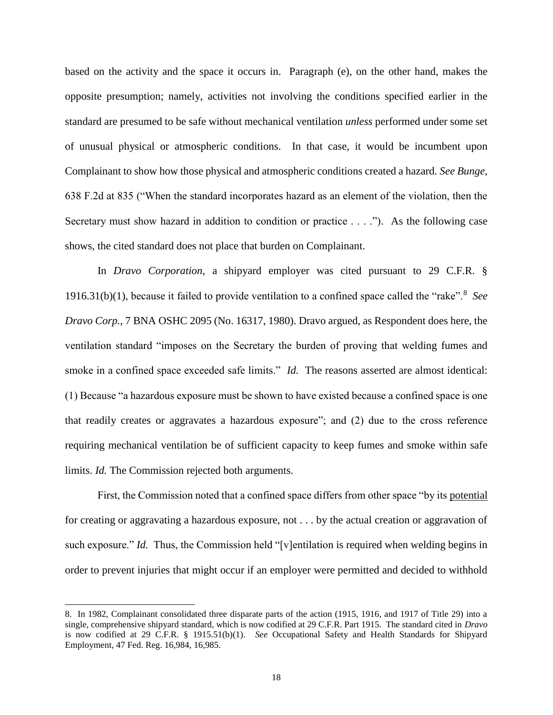based on the activity and the space it occurs in. Paragraph (e), on the other hand, makes the opposite presumption; namely, activities not involving the conditions specified earlier in the standard are presumed to be safe without mechanical ventilation *unless* performed under some set of unusual physical or atmospheric conditions. In that case, it would be incumbent upon Complainant to show how those physical and atmospheric conditions created a hazard. *See Bunge*, 638 F.2d at 835 ("When the standard incorporates hazard as an element of the violation, then the Secretary must show hazard in addition to condition or practice . . . ."). As the following case shows, the cited standard does not place that burden on Complainant.

In *Dravo Corporation*, a shipyard employer was cited pursuant to 29 C.F.R. § 1916.31(b)(1), because it failed to provide ventilation to a confined space called the "rake".<sup>8</sup> *See Dravo Corp.*, 7 BNA OSHC 2095 (No. 16317, 1980). Dravo argued, as Respondent does here, the ventilation standard "imposes on the Secretary the burden of proving that welding fumes and smoke in a confined space exceeded safe limits." *Id.* The reasons asserted are almost identical: (1) Because "a hazardous exposure must be shown to have existed because a confined space is one that readily creates or aggravates a hazardous exposure"; and (2) due to the cross reference requiring mechanical ventilation be of sufficient capacity to keep fumes and smoke within safe limits. *Id.* The Commission rejected both arguments.

First, the Commission noted that a confined space differs from other space "by its potential for creating or aggravating a hazardous exposure, not . . . by the actual creation or aggravation of such exposure." *Id.* Thus, the Commission held "[v]entilation is required when welding begins in order to prevent injuries that might occur if an employer were permitted and decided to withhold

 $\overline{a}$ 

<sup>8.</sup> In 1982, Complainant consolidated three disparate parts of the action (1915, 1916, and 1917 of Title 29) into a single, comprehensive shipyard standard, which is now codified at 29 C.F.R. Part 1915. The standard cited in *Dravo* is now codified at 29 C.F.R. § 1915.51(b)(1). *See* Occupational Safety and Health Standards for Shipyard Employment, 47 Fed. Reg. 16,984, 16,985.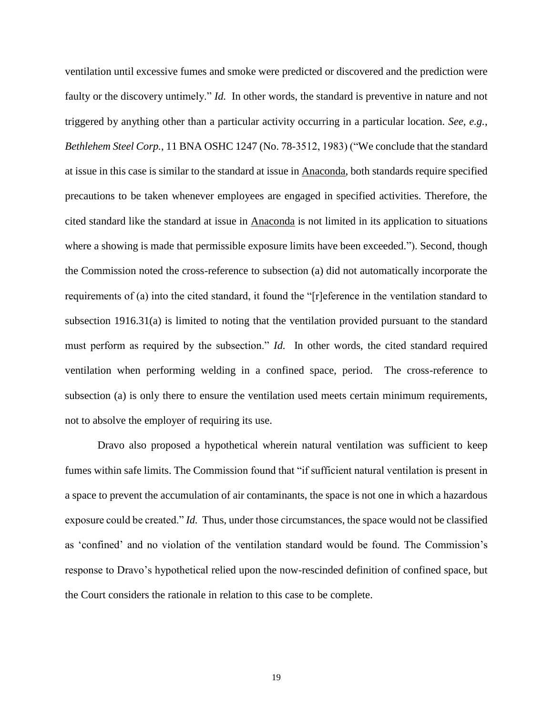ventilation until excessive fumes and smoke were predicted or discovered and the prediction were faulty or the discovery untimely." *Id.* In other words, the standard is preventive in nature and not triggered by anything other than a particular activity occurring in a particular location. *See, e.g.*, *Bethlehem Steel Corp.*, 11 BNA OSHC 1247 (No. 78-3512, 1983) ("We conclude that the standard at issue in this case is similar to the standard at issue in Anaconda, both standards require specified precautions to be taken whenever employees are engaged in specified activities. Therefore, the cited standard like the standard at issue in Anaconda is not limited in its application to situations where a showing is made that permissible exposure limits have been exceeded."). Second, though the Commission noted the cross-reference to subsection (a) did not automatically incorporate the requirements of (a) into the cited standard, it found the "[r]eference in the ventilation standard to subsection 1916.31(a) is limited to noting that the ventilation provided pursuant to the standard must perform as required by the subsection." *Id.* In other words, the cited standard required ventilation when performing welding in a confined space, period. The cross-reference to subsection (a) is only there to ensure the ventilation used meets certain minimum requirements, not to absolve the employer of requiring its use.

Dravo also proposed a hypothetical wherein natural ventilation was sufficient to keep fumes within safe limits. The Commission found that "if sufficient natural ventilation is present in a space to prevent the accumulation of air contaminants, the space is not one in which a hazardous exposure could be created." *Id.* Thus, under those circumstances, the space would not be classified as 'confined' and no violation of the ventilation standard would be found. The Commission's response to Dravo's hypothetical relied upon the now-rescinded definition of confined space, but the Court considers the rationale in relation to this case to be complete.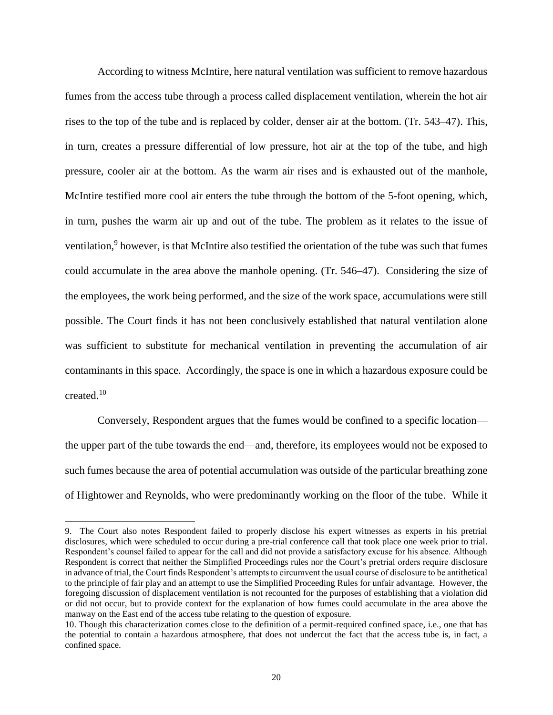According to witness McIntire, here natural ventilation was sufficient to remove hazardous fumes from the access tube through a process called displacement ventilation, wherein the hot air rises to the top of the tube and is replaced by colder, denser air at the bottom. (Tr. 543–47). This, in turn, creates a pressure differential of low pressure, hot air at the top of the tube, and high pressure, cooler air at the bottom. As the warm air rises and is exhausted out of the manhole, McIntire testified more cool air enters the tube through the bottom of the 5-foot opening, which, in turn, pushes the warm air up and out of the tube. The problem as it relates to the issue of ventilation,<sup>9</sup> however, is that McIntire also testified the orientation of the tube was such that fumes could accumulate in the area above the manhole opening. (Tr. 546–47). Considering the size of the employees, the work being performed, and the size of the work space, accumulations were still possible. The Court finds it has not been conclusively established that natural ventilation alone was sufficient to substitute for mechanical ventilation in preventing the accumulation of air contaminants in this space. Accordingly, the space is one in which a hazardous exposure could be created.<sup>10</sup>

Conversely, Respondent argues that the fumes would be confined to a specific location the upper part of the tube towards the end—and, therefore, its employees would not be exposed to such fumes because the area of potential accumulation was outside of the particular breathing zone of Hightower and Reynolds, who were predominantly working on the floor of the tube. While it

 $\overline{a}$ 

<sup>9.</sup> The Court also notes Respondent failed to properly disclose his expert witnesses as experts in his pretrial disclosures, which were scheduled to occur during a pre-trial conference call that took place one week prior to trial. Respondent's counsel failed to appear for the call and did not provide a satisfactory excuse for his absence. Although Respondent is correct that neither the Simplified Proceedings rules nor the Court's pretrial orders require disclosure in advance of trial, the Court finds Respondent's attempts to circumvent the usual course of disclosure to be antithetical to the principle of fair play and an attempt to use the Simplified Proceeding Rules for unfair advantage. However, the foregoing discussion of displacement ventilation is not recounted for the purposes of establishing that a violation did or did not occur, but to provide context for the explanation of how fumes could accumulate in the area above the manway on the East end of the access tube relating to the question of exposure.

<sup>10.</sup> Though this characterization comes close to the definition of a permit-required confined space, i.e., one that has the potential to contain a hazardous atmosphere, that does not undercut the fact that the access tube is, in fact, a confined space.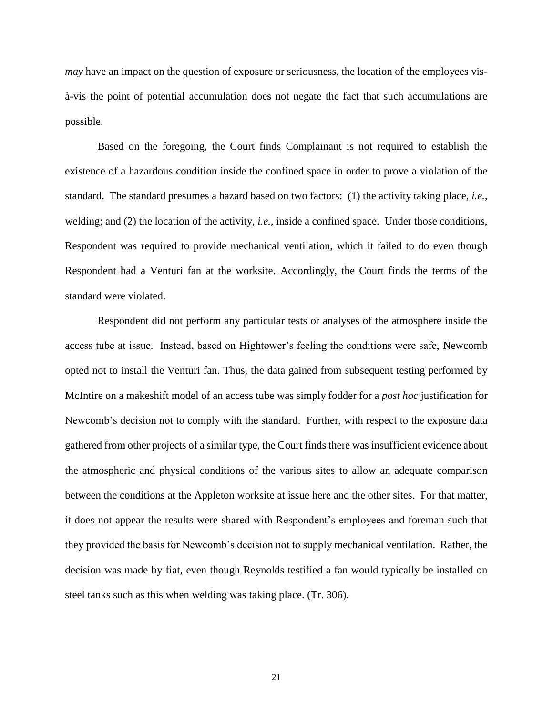*may* have an impact on the question of exposure or seriousness, the location of the employees visà-vis the point of potential accumulation does not negate the fact that such accumulations are possible.

Based on the foregoing, the Court finds Complainant is not required to establish the existence of a hazardous condition inside the confined space in order to prove a violation of the standard. The standard presumes a hazard based on two factors: (1) the activity taking place, *i.e.*, welding; and (2) the location of the activity, *i.e.*, inside a confined space. Under those conditions, Respondent was required to provide mechanical ventilation, which it failed to do even though Respondent had a Venturi fan at the worksite. Accordingly, the Court finds the terms of the standard were violated.

Respondent did not perform any particular tests or analyses of the atmosphere inside the access tube at issue. Instead, based on Hightower's feeling the conditions were safe, Newcomb opted not to install the Venturi fan. Thus, the data gained from subsequent testing performed by McIntire on a makeshift model of an access tube was simply fodder for a *post hoc* justification for Newcomb's decision not to comply with the standard. Further, with respect to the exposure data gathered from other projects of a similar type, the Court finds there was insufficient evidence about the atmospheric and physical conditions of the various sites to allow an adequate comparison between the conditions at the Appleton worksite at issue here and the other sites. For that matter, it does not appear the results were shared with Respondent's employees and foreman such that they provided the basis for Newcomb's decision not to supply mechanical ventilation. Rather, the decision was made by fiat, even though Reynolds testified a fan would typically be installed on steel tanks such as this when welding was taking place. (Tr. 306).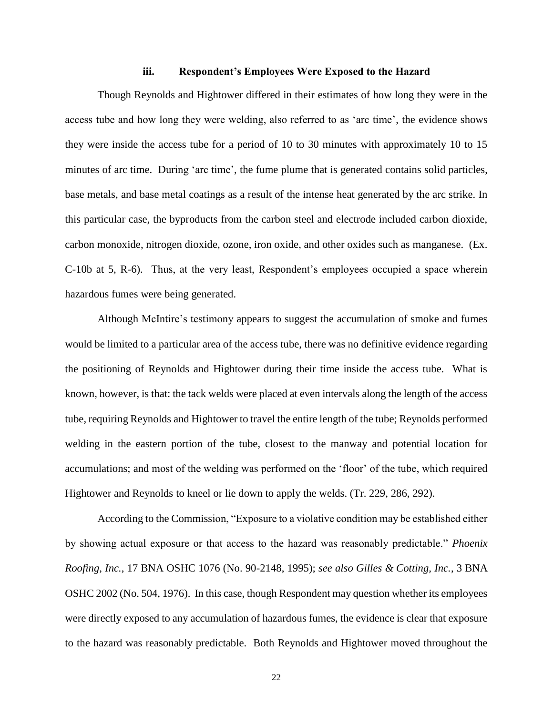### **iii. Respondent's Employees Were Exposed to the Hazard**

Though Reynolds and Hightower differed in their estimates of how long they were in the access tube and how long they were welding, also referred to as 'arc time', the evidence shows they were inside the access tube for a period of 10 to 30 minutes with approximately 10 to 15 minutes of arc time. During 'arc time', the fume plume that is generated contains solid particles, base metals, and base metal coatings as a result of the intense heat generated by the arc strike. In this particular case, the byproducts from the carbon steel and electrode included carbon dioxide, carbon monoxide, nitrogen dioxide, ozone, iron oxide, and other oxides such as manganese. (Ex. C-10b at 5, R-6). Thus, at the very least, Respondent's employees occupied a space wherein hazardous fumes were being generated.

Although McIntire's testimony appears to suggest the accumulation of smoke and fumes would be limited to a particular area of the access tube, there was no definitive evidence regarding the positioning of Reynolds and Hightower during their time inside the access tube. What is known, however, is that: the tack welds were placed at even intervals along the length of the access tube, requiring Reynolds and Hightower to travel the entire length of the tube; Reynolds performed welding in the eastern portion of the tube, closest to the manway and potential location for accumulations; and most of the welding was performed on the 'floor' of the tube, which required Hightower and Reynolds to kneel or lie down to apply the welds. (Tr. 229, 286, 292).

According to the Commission, "Exposure to a violative condition may be established either by showing actual exposure or that access to the hazard was reasonably predictable." *Phoenix Roofing, Inc.*, 17 BNA OSHC 1076 (No. 90-2148, 1995); *see also Gilles & Cotting, Inc.*, 3 BNA OSHC 2002 (No. 504, 1976). In this case, though Respondent may question whether its employees were directly exposed to any accumulation of hazardous fumes, the evidence is clear that exposure to the hazard was reasonably predictable. Both Reynolds and Hightower moved throughout the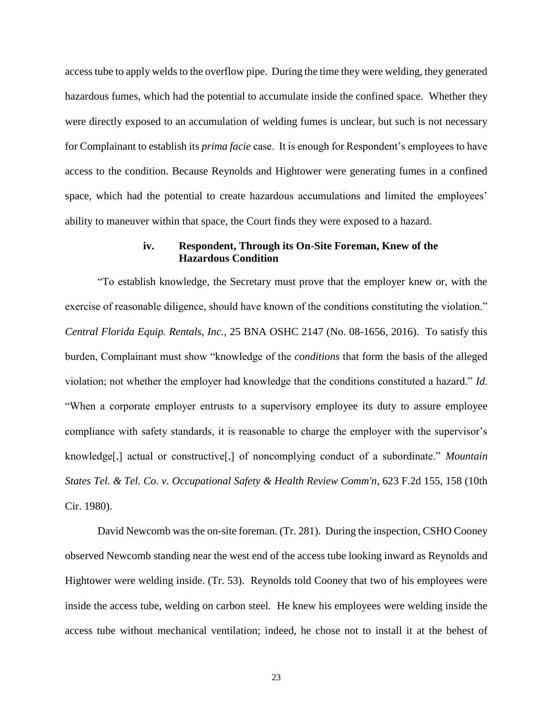access tube to apply welds to the overflow pipe. During the time they were welding, they generated hazardous fumes, which had the potential to accumulate inside the confined space. Whether they were directly exposed to an accumulation of welding fumes is unclear, but such is not necessary for Complainant to establish its *prima facie* case. It is enough for Respondent's employees to have access to the condition. Because Reynolds and Hightower were generating fumes in a confined space, which had the potential to create hazardous accumulations and limited the employees' ability to maneuver within that space, the Court finds they were exposed to a hazard.

## **iv. Respondent, Through its On-Site Foreman, Knew of the Hazardous Condition**

"To establish knowledge, the Secretary must prove that the employer knew or, with the exercise of reasonable diligence, should have known of the conditions constituting the violation." *Central Florida Equip. Rentals, Inc.*, 25 BNA OSHC 2147 (No. 08-1656, 2016). To satisfy this burden, Complainant must show "knowledge of the *conditions* that form the basis of the alleged violation; not whether the employer had knowledge that the conditions constituted a hazard." *Id.* "When a corporate employer entrusts to a supervisory employee its duty to assure employee compliance with safety standards, it is reasonable to charge the employer with the supervisor's knowledge[,] actual or constructive[,] of noncomplying conduct of a subordinate." *Mountain States Tel. & Tel. Co. v. Occupational Safety & Health Review Comm'n*, 623 F.2d 155, 158 (10th Cir. 1980).

David Newcomb was the on-site foreman. (Tr. 281). During the inspection, CSHO Cooney observed Newcomb standing near the west end of the access tube looking inward as Reynolds and Hightower were welding inside. (Tr. 53). Reynolds told Cooney that two of his employees were inside the access tube, welding on carbon steel. He knew his employees were welding inside the access tube without mechanical ventilation; indeed, he chose not to install it at the behest of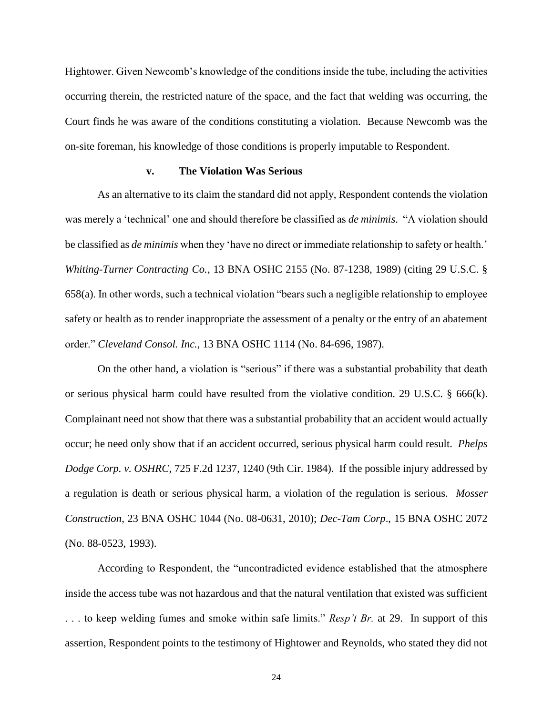Hightower. Given Newcomb's knowledge of the conditions inside the tube, including the activities occurring therein, the restricted nature of the space, and the fact that welding was occurring, the Court finds he was aware of the conditions constituting a violation. Because Newcomb was the on-site foreman, his knowledge of those conditions is properly imputable to Respondent.

### **v. The Violation Was Serious**

As an alternative to its claim the standard did not apply, Respondent contends the violation was merely a 'technical' one and should therefore be classified as *de minimis*. "A violation should be classified as *de minimis* when they 'have no direct or immediate relationship to safety or health.' *Whiting-Turner Contracting Co.*, 13 BNA OSHC 2155 (No. 87-1238, 1989) (citing 29 U.S.C. § 658(a). In other words, such a technical violation "bears such a negligible relationship to employee safety or health as to render inappropriate the assessment of a penalty or the entry of an abatement order." *Cleveland Consol. Inc.*, 13 BNA OSHC 1114 (No. 84-696, 1987).

On the other hand, a violation is "serious" if there was a substantial probability that death or serious physical harm could have resulted from the violative condition. 29 U.S.C. § 666(k). Complainant need not show that there was a substantial probability that an accident would actually occur; he need only show that if an accident occurred, serious physical harm could result. *Phelps Dodge Corp. v. OSHRC*, 725 F.2d 1237, 1240 (9th Cir. 1984). If the possible injury addressed by a regulation is death or serious physical harm, a violation of the regulation is serious. *Mosser Construction*, 23 BNA OSHC 1044 (No. 08-0631, 2010); *Dec-Tam Corp*., 15 BNA OSHC 2072 (No. 88-0523, 1993).

According to Respondent, the "uncontradicted evidence established that the atmosphere inside the access tube was not hazardous and that the natural ventilation that existed was sufficient . . . to keep welding fumes and smoke within safe limits." *Resp't Br.* at 29. In support of this assertion, Respondent points to the testimony of Hightower and Reynolds, who stated they did not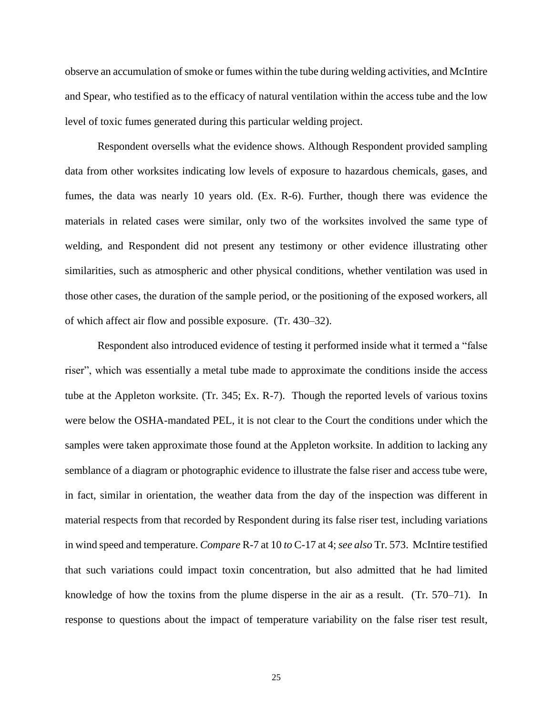observe an accumulation of smoke or fumes within the tube during welding activities, and McIntire and Spear, who testified as to the efficacy of natural ventilation within the access tube and the low level of toxic fumes generated during this particular welding project.

Respondent oversells what the evidence shows. Although Respondent provided sampling data from other worksites indicating low levels of exposure to hazardous chemicals, gases, and fumes, the data was nearly 10 years old. (Ex. R-6). Further, though there was evidence the materials in related cases were similar, only two of the worksites involved the same type of welding, and Respondent did not present any testimony or other evidence illustrating other similarities, such as atmospheric and other physical conditions, whether ventilation was used in those other cases, the duration of the sample period, or the positioning of the exposed workers, all of which affect air flow and possible exposure. (Tr. 430–32).

Respondent also introduced evidence of testing it performed inside what it termed a "false riser", which was essentially a metal tube made to approximate the conditions inside the access tube at the Appleton worksite. (Tr. 345; Ex. R-7). Though the reported levels of various toxins were below the OSHA-mandated PEL, it is not clear to the Court the conditions under which the samples were taken approximate those found at the Appleton worksite. In addition to lacking any semblance of a diagram or photographic evidence to illustrate the false riser and access tube were, in fact, similar in orientation, the weather data from the day of the inspection was different in material respects from that recorded by Respondent during its false riser test, including variations in wind speed and temperature. *Compare* R-7 at 10 *to* C-17 at 4; *see also* Tr. 573. McIntire testified that such variations could impact toxin concentration, but also admitted that he had limited knowledge of how the toxins from the plume disperse in the air as a result. (Tr. 570–71). In response to questions about the impact of temperature variability on the false riser test result,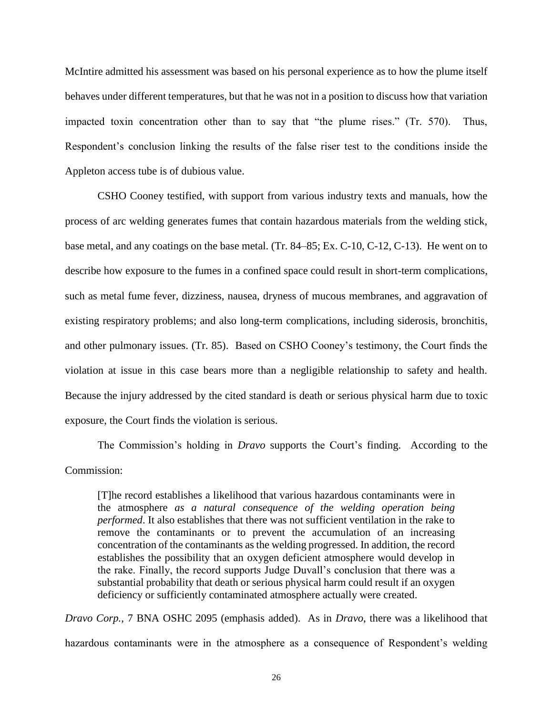McIntire admitted his assessment was based on his personal experience as to how the plume itself behaves under different temperatures, but that he was not in a position to discuss how that variation impacted toxin concentration other than to say that "the plume rises." (Tr. 570). Thus, Respondent's conclusion linking the results of the false riser test to the conditions inside the Appleton access tube is of dubious value.

CSHO Cooney testified, with support from various industry texts and manuals, how the process of arc welding generates fumes that contain hazardous materials from the welding stick, base metal, and any coatings on the base metal. (Tr. 84–85; Ex. C-10, C-12, C-13). He went on to describe how exposure to the fumes in a confined space could result in short-term complications, such as metal fume fever, dizziness, nausea, dryness of mucous membranes, and aggravation of existing respiratory problems; and also long-term complications, including siderosis, bronchitis, and other pulmonary issues. (Tr. 85). Based on CSHO Cooney's testimony, the Court finds the violation at issue in this case bears more than a negligible relationship to safety and health. Because the injury addressed by the cited standard is death or serious physical harm due to toxic exposure, the Court finds the violation is serious.

The Commission's holding in *Dravo* supports the Court's finding. According to the Commission:

[T]he record establishes a likelihood that various hazardous contaminants were in the atmosphere *as a natural consequence of the welding operation being performed*. It also establishes that there was not sufficient ventilation in the rake to remove the contaminants or to prevent the accumulation of an increasing concentration of the contaminants as the welding progressed. In addition, the record establishes the possibility that an oxygen deficient atmosphere would develop in the rake. Finally, the record supports Judge Duvall's conclusion that there was a substantial probability that death or serious physical harm could result if an oxygen deficiency or sufficiently contaminated atmosphere actually were created.

*Dravo Corp.*, 7 BNA OSHC 2095 (emphasis added). As in *Dravo*, there was a likelihood that hazardous contaminants were in the atmosphere as a consequence of Respondent's welding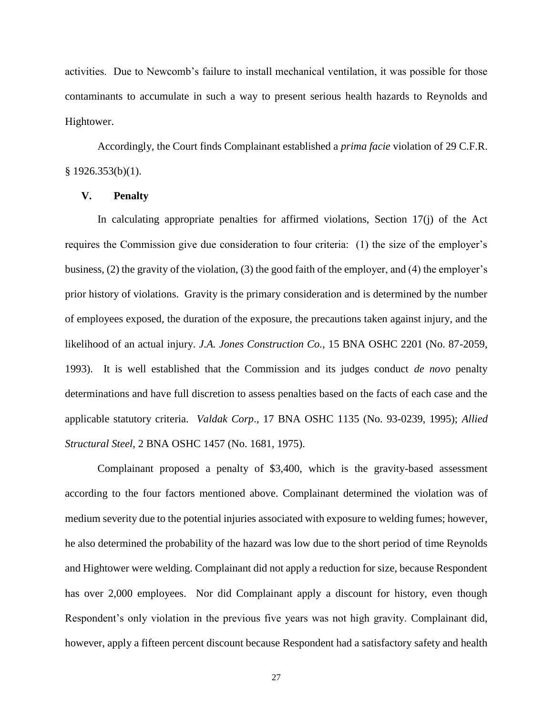activities. Due to Newcomb's failure to install mechanical ventilation, it was possible for those contaminants to accumulate in such a way to present serious health hazards to Reynolds and Hightower.

Accordingly, the Court finds Complainant established a *prima facie* violation of 29 C.F.R.  $§$  1926.353(b)(1).

### **V. Penalty**

In calculating appropriate penalties for affirmed violations, Section 17(j) of the Act requires the Commission give due consideration to four criteria: (1) the size of the employer's business, (2) the gravity of the violation, (3) the good faith of the employer, and (4) the employer's prior history of violations. Gravity is the primary consideration and is determined by the number of employees exposed, the duration of the exposure, the precautions taken against injury, and the likelihood of an actual injury. *J.A. Jones Construction Co.*, 15 BNA OSHC 2201 (No. 87-2059, 1993). It is well established that the Commission and its judges conduct *de novo* penalty determinations and have full discretion to assess penalties based on the facts of each case and the applicable statutory criteria. *Valdak Corp*., 17 BNA OSHC 1135 (No. 93-0239, 1995); *Allied Structural Steel*, 2 BNA OSHC 1457 (No. 1681, 1975).

Complainant proposed a penalty of \$3,400, which is the gravity-based assessment according to the four factors mentioned above. Complainant determined the violation was of medium severity due to the potential injuries associated with exposure to welding fumes; however, he also determined the probability of the hazard was low due to the short period of time Reynolds and Hightower were welding. Complainant did not apply a reduction for size, because Respondent has over 2,000 employees. Nor did Complainant apply a discount for history, even though Respondent's only violation in the previous five years was not high gravity. Complainant did, however, apply a fifteen percent discount because Respondent had a satisfactory safety and health